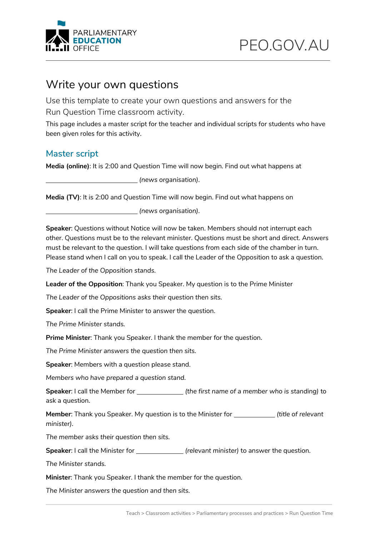

#### Write your own questions

Use this template to create your own questions and answers for the Run Question Time classroom activity.

This page includes a master script for the teacher and individual scripts for students who have been given roles for this activity.

#### **Master script**

**Media (online)**: It is 2:00 and Question Time will now begin. Find out what happens at

*(news organisation)*.

**Media (TV)**: It is 2:00 and Question Time will now begin. Find out what happens on

*(news organisation)*.

**Speaker**: Questions without Notice will now be taken. Members should not interrupt each other. Questions must be to the relevant minister. Questions must be short and direct. Answers must be relevant to the question. I will take questions from each side of the chamber in turn. Please stand when I call on you to speak. I call the Leader of the Opposition to ask a question.

*The Leader of the Opposition stands.*

**Leader of the Opposition**: Thank you Speaker. My question is to the Prime Minister

*The Leader of the Oppositions asks their question then sits.*

**Speaker**: I call the Prime Minister to answer the question.

*The Prime Minister stands.*

**Prime Minister**: Thank you Speaker. I thank the member for the question.

*The Prime Minister answers the question then sits.*

**Speaker**: Members with a question please stand.

*Members who have prepared a question stand.*

**Speaker**: I call the Member for *(the first name of a member who is standing)* to ask a question.

**Member:** Thank you Speaker. My question is to the Minister for *(itle of relevant*) *minister).*

*The member asks their question then sits.*

**Speaker**: I call the Minister for *(relevant minister)* to answer the question.

*The Minister stands.*

**Minister**: Thank you Speaker. I thank the member for the question.

*The Minister answers the question and then sits.*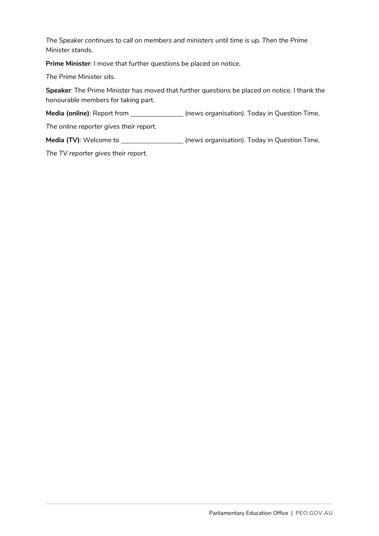*The Speaker continues to call on members and ministers until time is up. Then the Prime Minister stands.*

**Prime Minister**: I move that further questions be placed on notice.

*The Prime Minister sits.*

**Speaker**: The Prime Minister has moved that further questions be placed on notice. I thank the honourable members for taking part.

**Media (online)**: Report from *(news organisation)*. Today in Question Time,

*The online reporter gives their report.*

**Media (TV)**: Welcome to *(news organisation)*. Today in Question Time,

*The TV reporter gives their report.*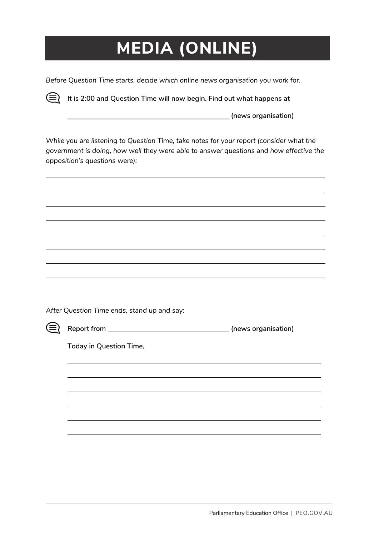# **MEDIA (ONLINE)**

*Before Question Time starts, decide which online news organisation you work for.* 

⊜ **It is 2:00 and Question Time will now begin. Find out what happens at** 

**(news organisation)**

*While you are listening to Question Time, take notes for your report (consider what the government is doing, how well they were able to answer questions and how effective the opposition's questions were):*

*After Question Time ends, stand up and say:*



**Report from (news organisation)**

**Today in Question Time,**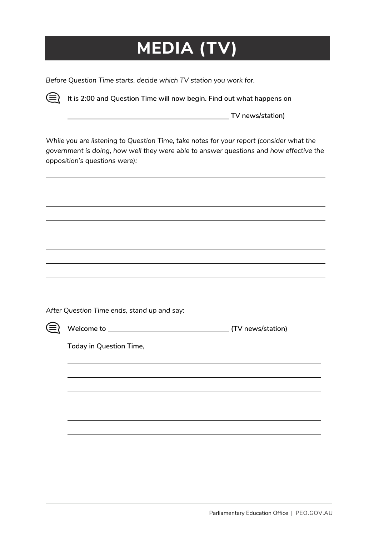# **MEDIA (TV)**

*Before Question Time starts, decide which TV station you work for.* 

**It is 2:00 and Question Time will now begin. Find out what happens on** (≡)

**TV news/station)**

*While you are listening to Question Time, take notes for your report (consider what the government is doing, how well they were able to answer questions and how effective the opposition's questions were):*

*After Question Time ends, stand up and say:*



**Welcome to (TV news/station)**

**Today in Question Time,**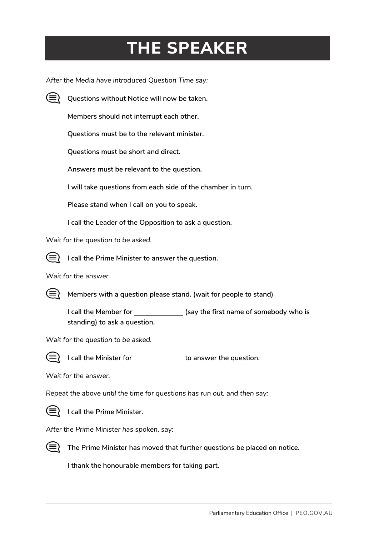### **THE SPEAKER**

*After the Media have introduced Question Time say:* 



**Questions without Notice will now be taken.** 

**Members should not interrupt each other.**

**Questions must be to the relevant minister.**

**Questions must be short and direct.** 

**Answers must be relevant to the question.**

**I will take questions from each side of the chamber in turn.** 

**Please stand when I call on you to speak.** 

**I call the Leader of the Opposition to ask a question.**

*Wait for the question to be asked.*



**I call the Prime Minister to answer the question.**

*Wait for the answer.*



**Members with a question please stand. (wait for people to stand)**

**I call the Member for \_\_\_\_\_\_\_\_\_\_\_\_\_\_\_\_ (say the first name of somebody who is standing) to ask a question.**

*Wait for the question to be asked.*



**I** call the Minister for \_\_\_\_\_\_\_\_\_\_\_\_\_ to answer the question.

*Wait for the answer.*

*Repeat the above until the time for questions has run out, and then say:*



**I call the Prime Minister.**

*After the Prime Minister has spoken, say:*



**The Prime Minister has moved that further questions be placed on notice.** 

**I thank the honourable members for taking part.**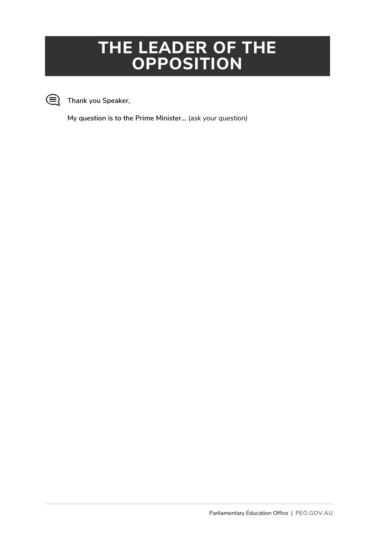#### **THE LEADER OF THE OPPOSITION**



**Thank you Speaker,** 

**My question is to the Prime Minister…** *(ask your question)*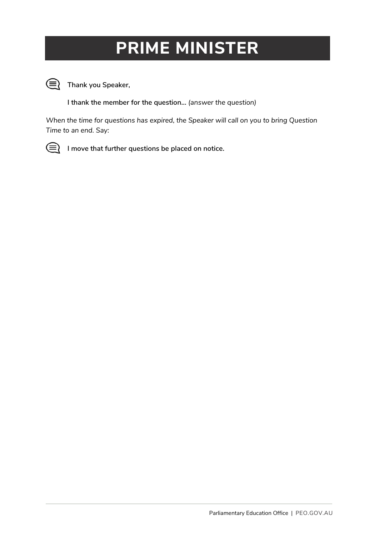### **PRIME MINISTER**



**Thank you Speaker,**

**I thank the member for the question…** *(answer the question)*

*When the time for questions has expired, the Speaker will call on you to bring Question Time to an end. Say:*



**I move that further questions be placed on notice.**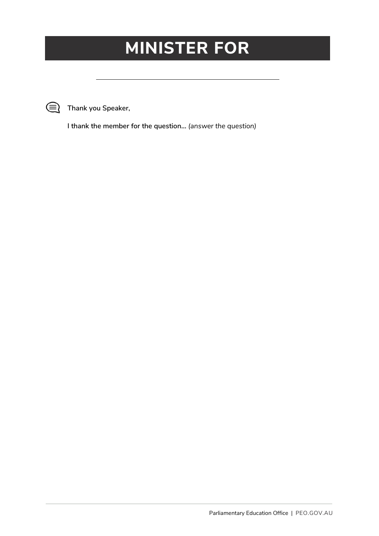#### **MINISTER FOR**



**Thank you Speaker,**

**I thank the member for the question…** *(answer the question)*